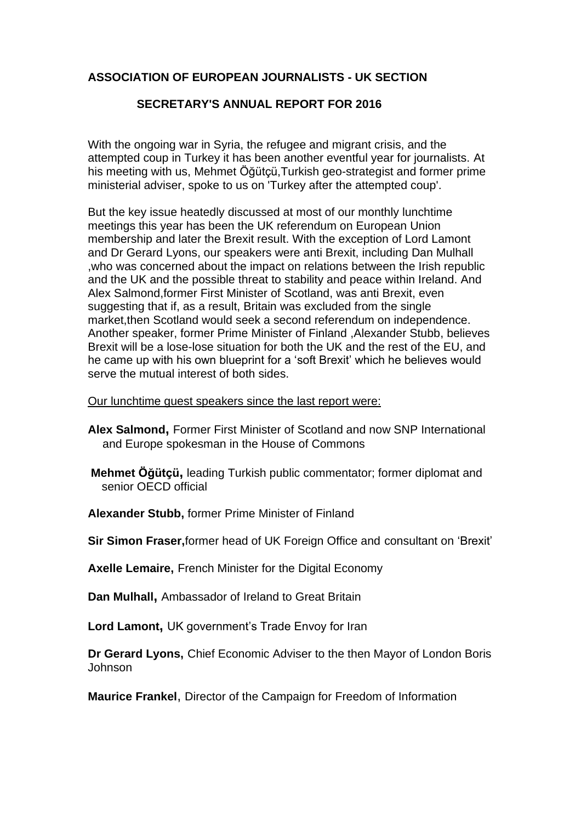## **ASSOCIATION OF EUROPEAN JOURNALISTS - UK SECTION**

## **SECRETARY'S ANNUAL REPORT FOR 2016**

With the ongoing war in Syria, the refugee and migrant crisis, and the attempted coup in Turkey it has been another eventful year for journalists. At his meeting with us, Mehmet Öğütçü,Turkish geo-strategist and former prime ministerial adviser, spoke to us on 'Turkey after the attempted coup'.

But the key issue heatedly discussed at most of our monthly lunchtime meetings this year has been the UK referendum on European Union membership and later the Brexit result. With the exception of Lord Lamont and Dr Gerard Lyons, our speakers were anti Brexit, including Dan Mulhall ,who was concerned about the impact on relations between the Irish republic and the UK and the possible threat to stability and peace within Ireland. And Alex Salmond,former First Minister of Scotland, was anti Brexit, even suggesting that if, as a result, Britain was excluded from the single market,then Scotland would seek a second referendum on independence. Another speaker, former Prime Minister of Finland ,Alexander Stubb, believes Brexit will be a lose-lose situation for both the UK and the rest of the EU, and he came up with his own blueprint for a 'soft Brexit' which he believes would serve the mutual interest of both sides.

Our lunchtime guest speakers since the last report were:

- **Alex Salmond,** Former First Minister of Scotland and now SNP International and Europe spokesman in the House of Commons
- **Mehmet Öğütçü,** leading Turkish public commentator; former diplomat and senior OECD official
- **Alexander Stubb,** former Prime Minister of Finland
- **Sir Simon Fraser,**former head of UK Foreign Office and consultant on 'Brexit'
- **Axelle Lemaire,** French Minister for the Digital Economy

**Dan Mulhall,** Ambassador of Ireland to Great Britain

**Lord Lamont,** UK government's Trade Envoy for Iran

**Dr Gerard Lyons,** Chief Economic Adviser to the then Mayor of London Boris Johnson

**Maurice Frankel**, Director of the Campaign for Freedom of Information